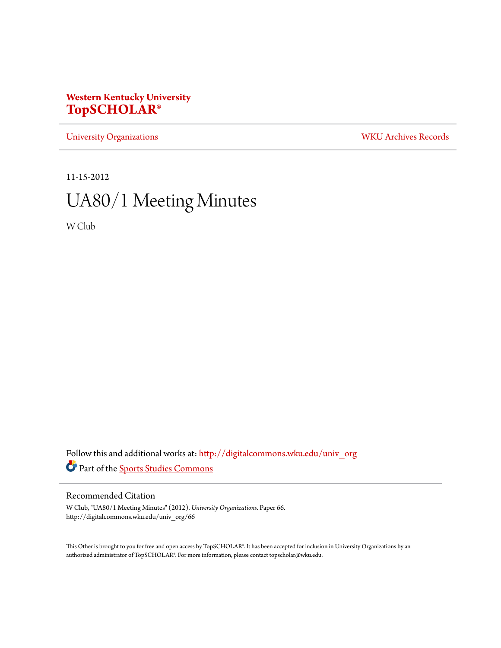# **Western Kentucky University [TopSCHOLAR®](http://digitalcommons.wku.edu?utm_source=digitalcommons.wku.edu%2Funiv_org%2F66&utm_medium=PDF&utm_campaign=PDFCoverPages)**

[University Organizations](http://digitalcommons.wku.edu/univ_org?utm_source=digitalcommons.wku.edu%2Funiv_org%2F66&utm_medium=PDF&utm_campaign=PDFCoverPages) [WKU Archives Records](http://digitalcommons.wku.edu/dlsc_ua_records?utm_source=digitalcommons.wku.edu%2Funiv_org%2F66&utm_medium=PDF&utm_campaign=PDFCoverPages)

11-15-2012

# UA80/1 Meeting Minutes

W Club

Follow this and additional works at: [http://digitalcommons.wku.edu/univ\\_org](http://digitalcommons.wku.edu/univ_org?utm_source=digitalcommons.wku.edu%2Funiv_org%2F66&utm_medium=PDF&utm_campaign=PDFCoverPages) Part of the [Sports Studies Commons](http://network.bepress.com/hgg/discipline/1198?utm_source=digitalcommons.wku.edu%2Funiv_org%2F66&utm_medium=PDF&utm_campaign=PDFCoverPages)

## Recommended Citation

W Club, "UA80/1 Meeting Minutes" (2012). *University Organizations.* Paper 66. http://digitalcommons.wku.edu/univ\_org/66

This Other is brought to you for free and open access by TopSCHOLAR®. It has been accepted for inclusion in University Organizations by an authorized administrator of TopSCHOLAR®. For more information, please contact topscholar@wku.edu.